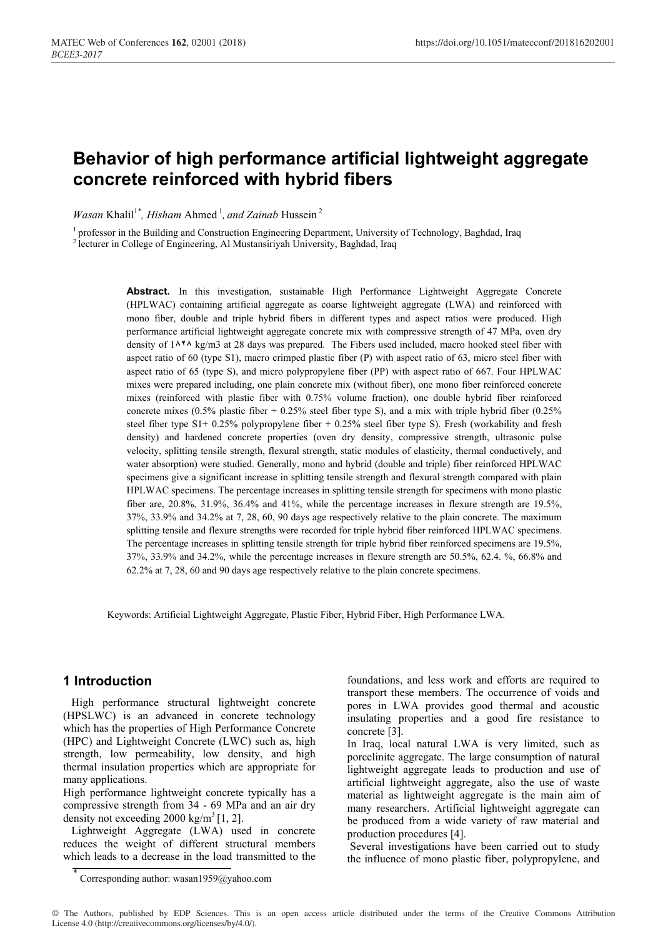# **Behavior of high performance artificial lightweight aggregate concrete reinforced with hybrid fibers**

*Wasan* Khalil<sup>1\*</sup>, *Hisham* Ahmed<sup>1</sup>, and Zainab Hussein<sup>2</sup>

<sup>1</sup> professor in the Building and Construction Engineering Department, University of Technology, Baghdad, Iraq

<sup>2</sup> lecturer in College of Engineering, Al Mustansiriyah University, Baghdad, Iraq

**Abstract.** In this investigation, sustainable High Performance Lightweight Aggregate Concrete (HPLWAC) containing artificial aggregate as coarse lightweight aggregate (LWA) and reinforced with mono fiber, double and triple hybrid fibers in different types and aspect ratios were produced. High performance artificial lightweight aggregate concrete mix with compressive strength of 47 MPa, oven dry density of 1**828** kg/m3 at 28 days was prepared. The Fibers used included, macro hooked steel fiber with aspect ratio of 60 (type S1), macro crimped plastic fiber (P) with aspect ratio of 63, micro steel fiber with aspect ratio of 65 (type S), and micro polypropylene fiber (PP) with aspect ratio of 667. Four HPLWAC mixes were prepared including, one plain concrete mix (without fiber), one mono fiber reinforced concrete mixes (reinforced with plastic fiber with 0.75% volume fraction), one double hybrid fiber reinforced concrete mixes (0.5% plastic fiber + 0.25% steel fiber type S), and a mix with triple hybrid fiber (0.25%) steel fiber type  $S1+ 0.25\%$  polypropylene fiber + 0.25% steel fiber type S). Fresh (workability and fresh density) and hardened concrete properties (oven dry density, compressive strength, ultrasonic pulse velocity, splitting tensile strength, flexural strength, static modules of elasticity, thermal conductively, and water absorption) were studied. Generally, mono and hybrid (double and triple) fiber reinforced HPLWAC specimens give a significant increase in splitting tensile strength and flexural strength compared with plain HPLWAC specimens. The percentage increases in splitting tensile strength for specimens with mono plastic fiber are, 20.8%, 31.9%, 36.4% and 41%, while the percentage increases in flexure strength are 19.5%, 37%, 33.9% and 34.2% at 7, 28, 60, 90 days age respectively relative to the plain concrete. The maximum splitting tensile and flexure strengths were recorded for triple hybrid fiber reinforced HPLWAC specimens. The percentage increases in splitting tensile strength for triple hybrid fiber reinforced specimens are 19.5%, 37%, 33.9% and 34.2%, while the percentage increases in flexure strength are 50.5%, 62.4. %, 66.8% and 62.2% at 7, 28, 60 and 90 days age respectively relative to the plain concrete specimens.

Keywords: Artificial Lightweight Aggregate, Plastic Fiber, Hybrid Fiber, High Performance LWA.

# **1 Introduction**

High performance structural lightweight concrete (HPSLWC) is an advanced in concrete technology which has the properties of High Performance Concrete (HPC) and Lightweight Concrete (LWC) such as, high strength, low permeability, low density, and high thermal insulation properties which are appropriate for many applications.

High performance lightweight concrete typically has a compressive strength from 34 - 69 MPa and an air dry density not exceeding  $2000 \text{ kg/m}^3$  [1, 2].

 Lightweight Aggregate (LWA) used in concrete reduces the weight of different structural members which leads to a decrease in the load transmitted to the foundations, and less work and efforts are required to transport these members. The occurrence of voids and pores in LWA provides good thermal and acoustic insulating properties and a good fire resistance to concrete [3].

In Iraq, local natural LWA is very limited, such as porcelinite aggregate. The large consumption of natural lightweight aggregate leads to production and use of artificial lightweight aggregate, also the use of waste material as lightweight aggregate is the main aim of many researchers. Artificial lightweight aggregate can be produced from a wide variety of raw material and production procedures [4].

 Several investigations have been carried out to study the influence of mono plastic fiber, polypropylene, and

<sup>\*</sup> Corresponding author: wasan1959@yahoo.com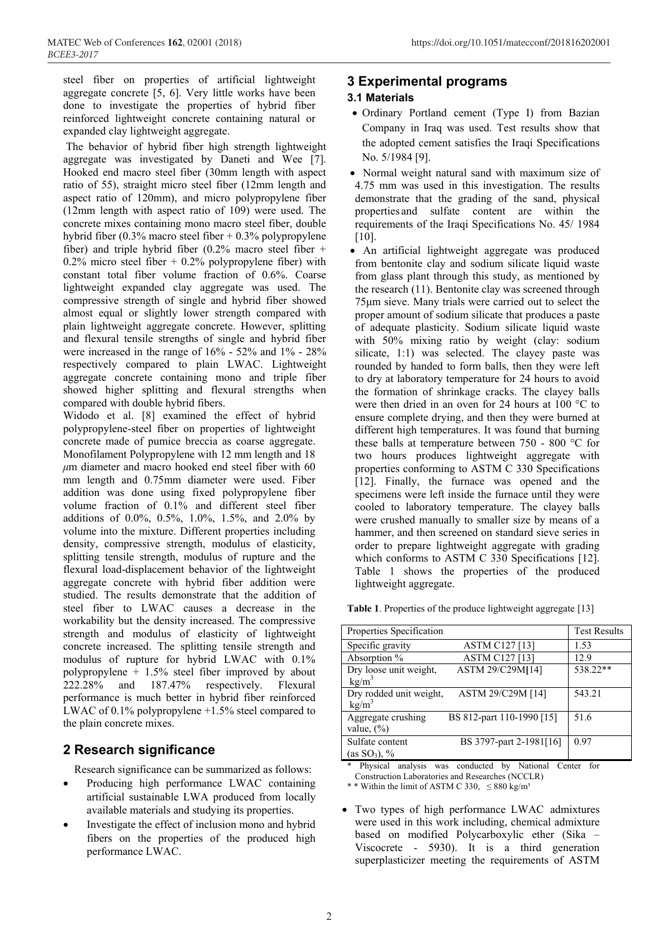steel fiber on properties of artificial lightweight aggregate concrete [5, 6]. Very little works have been done to investigate the properties of hybrid fiber reinforced lightweight concrete containing natural or expanded clay lightweight aggregate.

 The behavior of hybrid fiber high strength lightweight aggregate was investigated by Daneti and Wee [7]. Hooked end macro steel fiber (30mm length with aspect ratio of 55), straight micro steel fiber (12mm length and aspect ratio of 120mm), and micro polypropylene fiber (12mm length with aspect ratio of 109) were used. The concrete mixes containing mono macro steel fiber, double hybrid fiber (0.3% macro steel fiber + 0.3% polypropylene fiber) and triple hybrid fiber  $(0.2\%$  macro steel fiber + 0.2% micro steel fiber  $+$  0.2% polypropylene fiber) with constant total fiber volume fraction of 0.6%. Coarse lightweight expanded clay aggregate was used. The compressive strength of single and hybrid fiber showed almost equal or slightly lower strength compared with plain lightweight aggregate concrete. However, splitting and flexural tensile strengths of single and hybrid fiber were increased in the range of 16% - 52% and 1% - 28% respectively compared to plain LWAC. Lightweight aggregate concrete containing mono and triple fiber showed higher splitting and flexural strengths when compared with double hybrid fibers.

Widodo et al. [8] examined the effect of hybrid polypropylene-steel fiber on properties of lightweight concrete made of pumice breccia as coarse aggregate. Monofilament Polypropylene with 12 mm length and 18  $\mu$ m diameter and macro hooked end steel fiber with 60 mm length and 0.75mm diameter were used. Fiber addition was done using fixed polypropylene fiber volume fraction of 0.1% and different steel fiber additions of 0.0%, 0.5%, 1.0%, 1.5%, and 2.0% by volume into the mixture. Different properties including density, compressive strength, modulus of elasticity, splitting tensile strength, modulus of rupture and the flexural load-displacement behavior of the lightweight aggregate concrete with hybrid fiber addition were studied. The results demonstrate that the addition of steel fiber to LWAC causes a decrease in the workability but the density increased. The compressive strength and modulus of elasticity of lightweight concrete increased. The splitting tensile strength and modulus of rupture for hybrid LWAC with 0.1% polypropylene + 1.5% steel fiber improved by about 222.28% and 187.47% respectively. Flexural performance is much better in hybrid fiber reinforced LWAC of 0.1% polypropylene +1.5% steel compared to the plain concrete mixes.

# **2 Research significance**

Research significance can be summarized as follows:

- Producing high performance LWAC containing artificial sustainable LWA produced from locally available materials and studying its properties.
- Investigate the effect of inclusion mono and hybrid fibers on the properties of the produced high performance LWAC.

# **3 Experimental programs**

# **3.1 Materials,**

- Ordinary Portland cement (Type I) from Bazian Company, in Iraq was used. Test results show that the adopted cement satisfies the Iraqi Specifications No. 5/1984 [9].
- Normal weight natural sand with maximum size of 4.75 mm was used in this investigation. The results demonstrate that the grading of the sand, physical properties and sulfate content are within the requirements of the Iraqi Specifications No. 45/ 1984 [10].
- An artificial lightweight aggregate was produced from bentonite clay and sodium silicate liquid waste from glass plant through this study, as mentioned by the research (11). Bentonite clay was screened through 75μm sieve. Many trials were carried out to select the proper amount of sodium silicate that produces a paste of adequate plasticity. Sodium silicate liquid waste with 50% mixing ratio by weight (clay: sodium silicate, 1:1) was selected. The clayey paste was rounded by handed to form balls, then they were left to dry at laboratory temperature for 24 hours to avoid the formation of shrinkage cracks. The clayey balls were then dried in an oven for 24 hours at 100 °C to ensure complete drying, and then they were burned at different high temperatures. It was found that burning these balls at temperature between 750 - 800 °C for two hours produces lightweight aggregate with properties conforming to ASTM C 330 Specifications [12]. Finally, the furnace was opened and the specimens were left inside the furnace until they were cooled to laboratory temperature. The clayey balls were crushed manually to smaller size by means of a hammer, and then screened on standard sieve series in order to prepare lightweight aggregate with grading which conforms to ASTM C 330 Specifications [12]. Table 1 shows the properties of the produced lightweight aggregate.

| Table 1. Properties of the produce lightweight aggregate [13] |  |  |  |
|---------------------------------------------------------------|--|--|--|
|                                                               |  |  |  |

| Properties Specification |                           | <b>Test Results</b> |
|--------------------------|---------------------------|---------------------|
| Specific gravity         | <b>ASTM C127 [13]</b>     | 1.53                |
| Absorption %             | ASTM C127 [13]            | 12.9                |
| Dry loose unit weight,   | ASTM 29/C29M[14]          | 538.22**            |
| kg/m <sup>3</sup>        |                           |                     |
| Dry rodded unit weight.  | ASTM 29/C29M [14]         | 543.21              |
| kg/m <sup>3</sup>        |                           |                     |
| Aggregate crushing       | BS 812-part 110-1990 [15] | 51.6                |
| value, $(\% )$           |                           |                     |
| Sulfate content          | BS 3797-part 2-1981[16]   | 0.97                |
| (as SO <sub>3</sub> ), % |                           |                     |
|                          |                           |                     |

\* Physical analysis was conducted by National Center for Construction Laboratories and Researches (NCCLR)

\* \* Within the limit of ASTM C 330,  $\leq 880$  kg/m<sup>3</sup>

 Two types of high performance LWAC admixtures were used in this work including, chemical admixture based on modified Polycarboxylic ether (Sika – Viscocrete - 5930). It is a third generation superplasticizer meeting the requirements of ASTM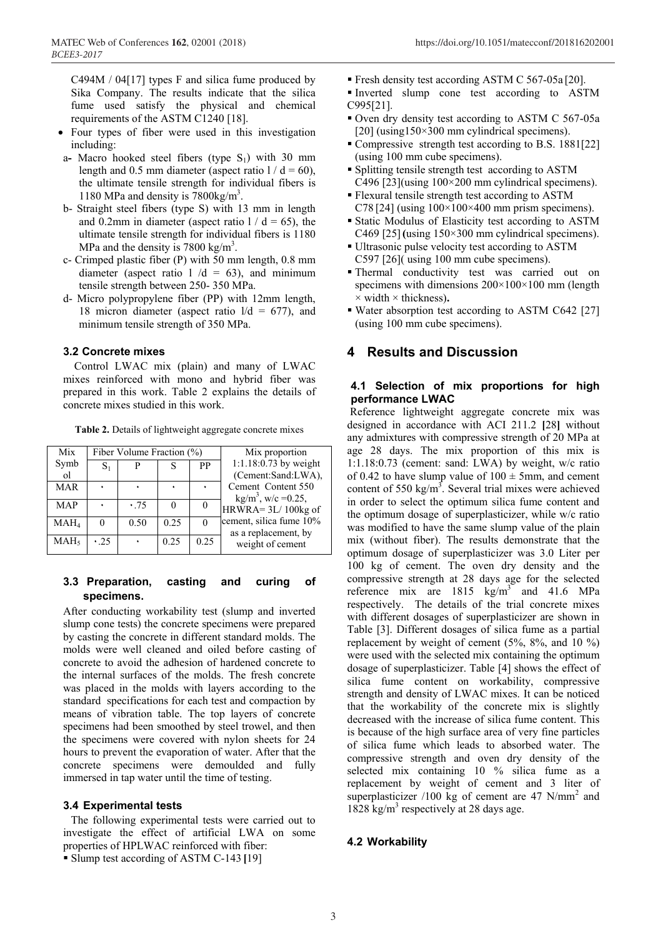C494M / 04[17] types F and silica fume produced by Sika Company. The results indicate that the silica fume used satisfy the physical and chemical requirements of the ASTM C1240 [18].

- Four types of fiber were used in this investigation including:
- a- Macro hooked steel fibers (type  $S_1$ ) with 30 mm length and 0.5 mm diameter (aspect ratio  $1/d = 60$ ), the ultimate tensile strength for individual fibers is 1180 MPa and density is 7800kg/m3 .
- b- Straight steel fibers (type S) with 13 mm in length and 0.2mm in diameter (aspect ratio  $1/d = 65$ ), the ultimate tensile strength for individual fibers is 1180 MPa and the density is  $7800 \text{ kg/m}^3$ .
- c- Crimped plastic fiber (P) with 50 mm length, 0.8 mm diameter (aspect ratio  $1/d = 63$ ), and minimum tensile strength between 250- 350 MPa.
- d- Micro polypropylene fiber (PP) with 12mm length, 18 micron diameter (aspect ratio  $1/d = 677$ ), and minimum tensile strength of 350 MPa.

#### **3.2, Concrete mixes**

Control LWAC mix (plain) and many of LWAC mixes reinforced with mono and hybrid fiber was prepared in this work. Table 2 explains the details of concrete mixes studied in this work.

**Table 2.** Details of lightweight aggregate concrete mixes

| Mix              |     | Fiber Volume Fraction (%) |      |      | Mix proportion                           |
|------------------|-----|---------------------------|------|------|------------------------------------------|
| Symb             |     | P                         |      | PP   | 1:1.18:0.73 by weight                    |
| <sub>o</sub> 1   |     |                           |      |      | (Cement:Sand:LWA),                       |
| <b>MAR</b>       |     |                           |      |      | Cement Content 550                       |
|                  |     |                           |      |      | $kg/m^3$ , w/c = 0.25,                   |
| <b>MAP</b>       |     | .75                       |      |      | HRWRA=3L/100kg of                        |
| MAH <sub>4</sub> |     | 0.50                      | 0.25 |      | cement, silica fume 10%                  |
| MAH <sub>5</sub> | .25 |                           | 0.25 | 0.25 | as a replacement, by<br>weight of cement |

## **3.3 Preparation, casting and curing of specimens.**

After conducting workability test (slump and inverted slump cone tests) the concrete specimens were prepared by casting the concrete in different standard molds. The molds were well cleaned and oiled before casting of concrete to avoid the adhesion of hardened concrete to the internal surfaces of the molds. The fresh concrete was placed in the molds with layers according to the standard, specifications for each test and compaction by means of vibration table. The top layers of concrete specimens had been smoothed by steel trowel, and then the specimens were covered with nylon sheets for 24 hours to prevent the evaporation of water. After that the concrete specimens were demoulded and fully immersed in tap water until the time of testing.

#### **3.4 Experimental tests**

The following experimental tests were carried out to investigate the effect of artificial LWA on some properties of HPLWAC reinforced with fiber:

Slump test according of ASTM C-143 **[**19]

- Fresh density test according ASTM C 567-05a [20].
- Inverted slump cone test according to ASTM C995[21].
- Oven dry density test according to ASTM C 567-05a  $[20]$  (using  $150 \times 300$  mm cylindrical specimens).
- Compressive, strength test according to B.S. 1881[22] (using 100 mm cube specimens).
- Splitting tensile strength test, according to ASTM C496 [23](using 100×200 mm cylindrical specimens).
- Flexural tensile strength test according to ASTM C78 [24] (using  $100\times100\times400$  mm prism specimens).
- Static Modulus of Elasticity test according to ASTM C469 [25]**(**using 150×300 mm cylindrical specimens).
- Ultrasonic pulse velocity test according to ASTM C597 [26]( using 100 mm cube specimens).
- Thermal conductivity test was carried out on specimens with dimensions  $200\times100\times100$  mm (length × width × thickness)**.**
- Water absorption test according to ASTM C642 [27] (using 100 mm cube specimens).

# **4 Results and Discussion**

### **4.1 Selection of mix proportions for high performance LWAC**

 Reference lightweight aggregate concrete mix was designed in accordance with ACI 211.2 **[**28**]** without any admixtures with compressive strength of 20 MPa at age 28 days. The mix proportion of this mix is 1:1.18:0.73 (cement: sand: LWA) by weight, w/c ratio of 0.42 to have slump value of  $100 \pm 5$ mm, and cement content of 550 kg/m<sup>3</sup>. Several trial mixes were achieved in order to select the optimum silica fume content and the optimum dosage of superplasticizer, while w/c ratio was modified to have the same slump value of the plain mix (without fiber). The results demonstrate that the optimum dosage of superplasticizer was 3.0 Liter per 100 kg of cement. The oven dry density and the compressive strength at 28 days age for the selected reference mix are  $1815 \text{ kg/m}^3$  and 41.6 MPa respectively. The details of the trial concrete mixes with different dosages of superplasticizer are shown in Table [3]. Different dosages of silica fume as a partial replacement by weight of cement  $(5\%, 8\%, \text{ and } 10\%)$ were used with the selected mix containing the optimum dosage of superplasticizer. Table [4] shows the effect of silica fume content on workability, compressive strength and density of LWAC mixes. It can be noticed that the workability of the concrete mix is slightly decreased with the increase of silica fume content. This is because of the high surface area of very fine particles of silica fume which leads to absorbed water. The compressive strength and oven dry density of the selected mix containing 10 % silica fume as a replacement by weight of cement and 3 liter of superplasticizer  $/100$  kg of cement are 47 N/mm<sup>2</sup> and 1828 kg/m<sup>3</sup> respectively at 28 days age.

### **4.2 Workability,**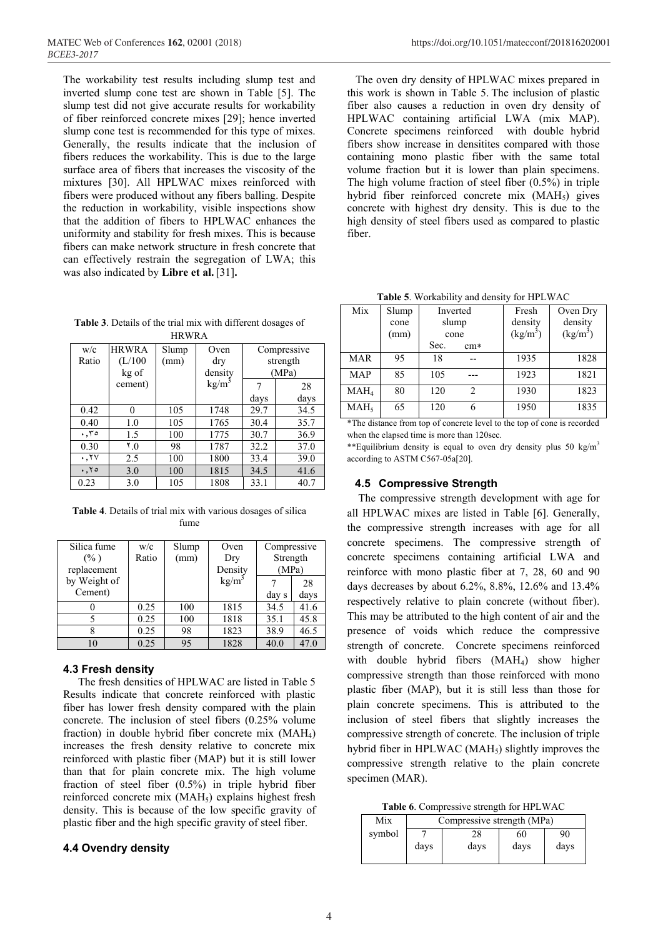The workability test results including slump test and inverted slump cone test are shown in Table [5]. The slump test did not give accurate results for workability of fiber reinforced concrete mixes [29]; hence inverted slump cone test is recommended for this type of mixes. Generally, the results indicate that the inclusion of fibers reduces the workability. This is due to the large surface area of fibers that increases the viscosity of the mixtures [30]. All HPLWAC mixes reinforced with fibers were produced without any fibers balling. Despite the reduction in workability, visible inspections show that the addition of fibers to HPLWAC enhances the uniformity and stability for fresh mixes. This is because fibers can make network structure in fresh concrete that can effectively restrain the segregation of LWA; this was also indicated by **Libre et al.**[31]**.** 

**Table 3**. Details of the trial mix with different dosages of HRWRA

| w/c             | <b>HRWRA</b> | Slump | Oven              |      | Compressive |
|-----------------|--------------|-------|-------------------|------|-------------|
| Ratio           | (L/100)      | (mm)  | dry               |      | strength    |
|                 | kg of        |       | density           |      | (MPa)       |
|                 | cement)      |       | kg/m <sup>3</sup> |      | 28          |
|                 |              |       |                   | days | days        |
| 0.42            | 0            | 105   | 1748              | 29.7 | 34.5        |
| 0.40            | 1.0          | 105   | 1765              | 30.4 | 35.7        |
| .50             | 1.5          | 100   | 1775              | 30.7 | 36.9        |
| 0.30            | 0.7          | 98    | 1787              | 32.2 | 37.0        |
| .7 <sub>V</sub> | 2.5          | 100   | 1800              | 33.4 | 39.0        |
| .70             | 3.0          | 100   | 1815              | 34.5 | 41.6        |
| 0.23            | 3.0          | 105   | 1808              | 33.1 | 40.7        |

**Table 4**. Details of trial mix with various dosages of silica fume

| Silica fume  | w/c   | Slump | Oven              | Compressive |      |
|--------------|-------|-------|-------------------|-------------|------|
| $(\% )$      | Ratio | (mm)  | Dry               | Strength    |      |
| replacement  |       |       | Density           | (MPa)       |      |
| by Weight of |       |       | kg/m <sup>3</sup> |             | 28   |
| Cement)      |       |       |                   | day s       | days |
|              | 0.25  | 100   | 1815              | 34.5        | 41.6 |
|              | 0.25  | 100   | 1818              | 35.1        | 45.8 |
|              | 0.25  | 98    | 1823              | 38.9        | 46.5 |
| 10           | 0.25  | 95    | 1828              | 40.0        | 47.0 |

### **4.3 Fresh density**

The fresh densities of HPLWAC are listed in Table 5 Results indicate that concrete reinforced with plastic, fiber has lower fresh, density compared with the plain concrete. The inclusion of steel fibers (0.25% volume fraction) in double hybrid fiber concrete mix (MAH4) increases the fresh density relative to concrete mix reinforced with plastic fiber (MAP) but it is still lower than that for plain concrete mix. The high volume fraction of steel fiber  $(0.5\%)$  in triple hybrid fiber reinforced concrete mix  $(MAH<sub>5</sub>)$  explains highest fresh density. This is because of the low specific gravity of plastic fiber and the high, specific gravity of steel fiber.

### **4.4 Ovendry density**

The oven dry density of HPLWAC mixes prepared in this work is shown in Table 5. The inclusion of plastic fiber also causes a reduction in oven dry density of HPLWAC containing artificial LWA (mix MAP). Concrete specimens reinforced with double hybrid fibers show increase in densitites compared with those containing mono plastic fiber with the same total volume fraction but it is lower than plain specimens. The high volume fraction of steel fiber (0.5%) in triple hybrid fiber reinforced concrete mix (MAH<sub>5</sub>) gives concrete with highest dry density. This is due to the high density of steel fibers used as compared to plastic fiber.

**Table 5**. Workability and density for HPLWAC

| Mix              | Slump<br>cone<br>(mm) | Inverted<br>slump<br>cone |                | Fresh<br>density<br>(kg/m <sup>3</sup> ) | Oven Dry<br>density<br>$(kg/m^3)$ |
|------------------|-----------------------|---------------------------|----------------|------------------------------------------|-----------------------------------|
|                  |                       | Sec.                      | $cm*$          |                                          |                                   |
| <b>MAR</b>       | 95                    | 18                        |                | 1935                                     | 1828                              |
| <b>MAP</b>       | 85                    | 105                       |                | 1923                                     | 1821                              |
| MAH <sub>4</sub> | 80                    | 120                       | $\mathfrak{D}$ | 1930                                     | 1823                              |
| MAH <sub>5</sub> | 65                    | 120                       | 6              | 1950                                     | 1835                              |

\*The distance from top of concrete level to the top of cone is recorded when the elapsed time is more than 120sec.

\*\*Equilibrium density is equal to oven dry density plus 50 kg/m<sup>3</sup> according to ASTM C567-05a[20].

## **4.5 Compressive Strength**

 The compressive, strength development with age for all HPLWAC, mixes are listed in Table [6]. Generally, the compressive strength increases with age for all concrete specimens. The compressive strength of concrete specimens containing artificial LWA and reinforce with mono plastic fiber at 7, 28, 60 and 90 days decreases by about 6.2%, 8.8%, 12.6% and 13.4% respectively relative to plain concrete (without fiber). This may be attributed to the high content of air and the presence of voids which reduce the compressive strength of concrete. Concrete specimens reinforced with double hybrid fibers (MAH<sub>4</sub>) show higher compressive strength than those reinforced with mono plastic fiber (MAP), but it is still less than those for plain concrete specimens. This is attributed to the inclusion of steel fibers that slightly increases the compressive strength of concrete. The inclusion of triple hybrid fiber in HPLWAC ( $MAH<sub>5</sub>$ ) slightly improves the compressive strength relative to the plain concrete specimen (MAR).

**Table 6**. Compressive strength for HPLWAC

| Mix    | Compressive strength (MPa) |      |      |      |
|--------|----------------------------|------|------|------|
| symbol |                            | 28   | 60   | 90   |
|        | days                       | days | days | days |
|        |                            |      |      |      |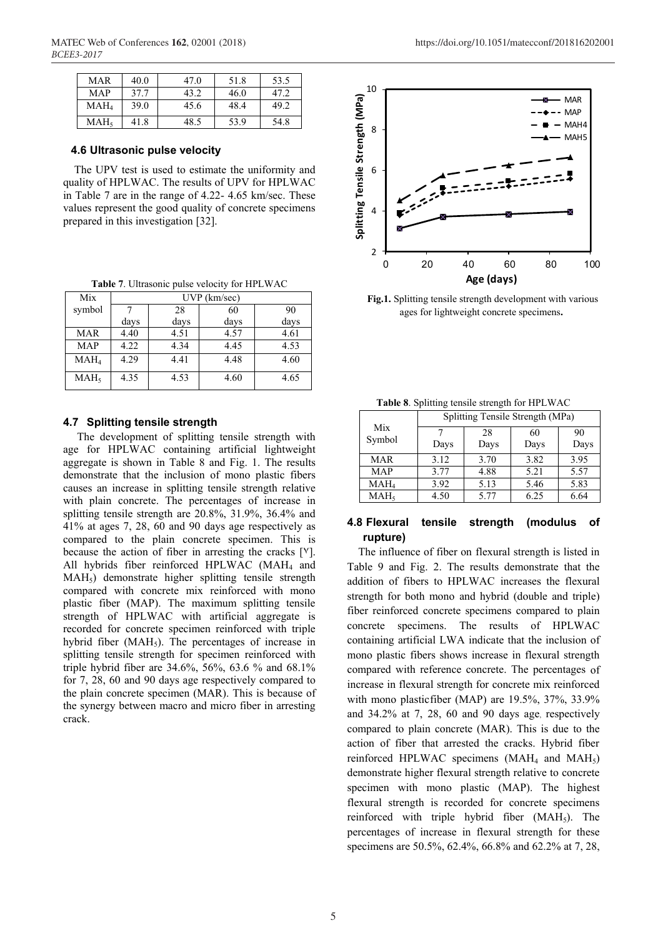| MAR              | 40.0 | 47.0 | 51.8 | 53.5 |
|------------------|------|------|------|------|
| MAP              | 37.7 | 43.2 | 46.0 | 47.2 |
| MAH4             | 39.0 | 45.6 | 48.4 | 49.2 |
| MAH <sub>5</sub> | 41.8 | 48.5 | 53.9 | 54.8 |

#### **4.6 Ultrasonic pulse velocity**

The UPV test is used to estimate the uniformity and quality of HPLWAC. The results of UPV for HPLWAC in Table 7 are in the range of 4.22- 4.65 km/sec. These values represent the good quality of concrete specimens prepared in this investigation [32].

**Table 7**. Ultrasonic pulse velocity for HPLWAC

| Mix              |      | $UVP$ (km/sec) |      |      |  |
|------------------|------|----------------|------|------|--|
| symbol           |      | 28             | 60   | 90   |  |
|                  | days | days           | days | days |  |
| <b>MAR</b>       | 4.40 | 4.51           | 4.57 | 4.61 |  |
| <b>MAP</b>       | 4.22 | 4.34           | 4.45 | 4.53 |  |
| MAH <sub>4</sub> | 4.29 | 4.41           | 4.48 | 4.60 |  |
| MAH <sub>5</sub> | 4.35 | 4.53           | 4.60 | 4.65 |  |

#### **4.7 Splitting tensile strength**

The development of splitting tensile strength with age for HPLWAC containing artificial lightweight aggregate is shown in Table 8 and Fig. 1. The results demonstrate that the inclusion of mono plastic fibers causes an increase in splitting tensile strength relative with plain concrete. The percentages of increase in splitting tensile strength are 20.8%, 31.9%, 36.4% and 41% at ages 7, 28, 60 and 90, days age respectively as compared to the plain concrete specimen. This is because the action of fiber in arresting the cracks  $[V]$ . All hybrids fiber reinforced HPLWAC (MAH $_4$  and MAH<sub>5</sub>) demonstrate higher splitting tensile strength compared with concrete mix reinforced with mono plastic, fiber (MAP). The maximum splitting tensile, strength of HPLWAC with artificial aggregate is recorded for concrete specimen reinforced with triple hybrid fiber  $(MAH<sub>5</sub>)$ . The percentages of increase in splitting tensile strength for specimen reinforced with triple hybrid fiber are 34.6%, 56%, 63.6 % and 68.1% for 7, 28, 60 and 90 days age respectively compared to the plain concrete specimen (MAR). This is because of the synergy between macro and micro fiber in arresting crack.



**Fig.1.** Splitting tensile strength development with various ages for lightweight concrete specimens**.** 

| $\frac{1}{2}$ and $\frac{1}{2}$ . Spinning tending strongen for the $\frac{1}{2}$ . |      |                                  |      |      |
|-------------------------------------------------------------------------------------|------|----------------------------------|------|------|
|                                                                                     |      | Splitting Tensile Strength (MPa) |      |      |
| Mix                                                                                 |      | 28                               | 60   | 90   |
| Symbol                                                                              | Days | Days                             | Days | Days |
| <b>MAR</b>                                                                          | 3.12 | 3.70                             | 3.82 | 3.95 |
| <b>MAP</b>                                                                          | 3.77 | 4.88                             | 5.21 | 5.57 |
| MAH <sub>4</sub>                                                                    | 3.92 | 5.13                             | 5.46 | 5.83 |
| MAH <sub>5</sub>                                                                    | 4.50 | 5.77                             | 6.25 | 6.64 |

|  |  | Table 8. Splitting tensile strength for HPLWAC |  |
|--|--|------------------------------------------------|--|
|--|--|------------------------------------------------|--|

## **4.8 Flexural tensile strength (modulus of rupture)**

The influence of fiber on flexural strength is listed in Table 9 and Fig. 2. The results demonstrate that the addition of fibers to HPLWAC increases the flexural strength for both mono and hybrid (double and triple) fiber reinforced concrete specimens compared to plain concrete specimens. The results of HPLWAC containing artificial LWA indicate that the inclusion of mono plastic fibers shows increase in flexural strength compared with reference concrete. The percentages of increase in flexural strength for concrete mix reinforced with mono plasticfiber (MAP) are  $19.5\%$ ,  $37\%$ ,  $33.9\%$ and 34.2% at 7, 28, 60 and 90 days age, respectively compared to plain concrete (MAR). This is due to the action of fiber that arrested the cracks. Hybrid fiber reinforced HPLWAC specimens  $(MAH<sub>4</sub>$  and  $MAH<sub>5</sub>)$ demonstrate higher flexural strength relative to concrete specimen with mono plastic (MAP). The highest flexural strength is recorded for concrete specimens reinforced with triple hybrid fiber  $(MAH<sub>5</sub>)$ . The percentages of increase in flexural strength for these specimens are 50.5%, 62.4%, 66.8% and 62.2% at 7, 28,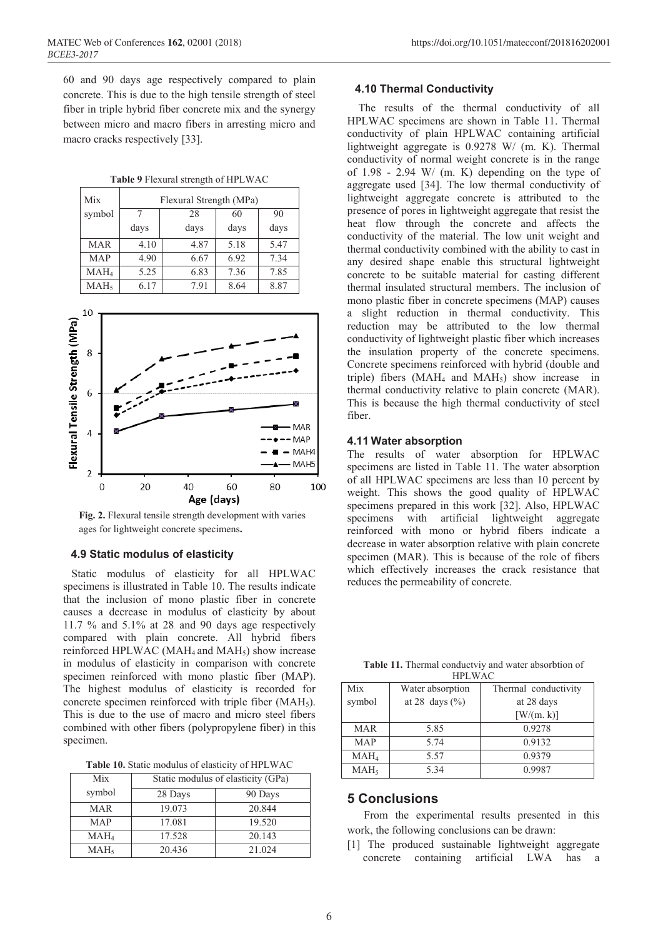60 and 90 days, age respectively compared to plain concrete. This is due to the high tensile strength of steel fiber in triple, hybrid fiber concrete mix and the synergy between micro and macro fibers in arresting micro and macro cracks respectively [33].

|  | Table 9 Flexural strength of HPLWAC |
|--|-------------------------------------|
|--|-------------------------------------|

| Mix              | Flexural Strength (MPa) |      |      |      |
|------------------|-------------------------|------|------|------|
| symbol           |                         | 28   | 60   | 90   |
|                  | days                    | days | days | days |
| <b>MAR</b>       | 4.10                    | 4.87 | 5.18 | 5.47 |
| <b>MAP</b>       | 4.90                    | 6.67 | 6.92 | 7.34 |
| MAH <sub>4</sub> | 5.25                    | 6.83 | 7.36 | 7.85 |
| MAH <sub>5</sub> | 6.17                    | 7.91 | 8.64 | 8.87 |



**Fig. 2.** Flexural tensile strength development with varies ages for lightweight concrete specimens**.**

#### **4.9 Static modulus of elasticity**

 Static modulus of elasticity for all HPLWAC specimens is illustrated in Table 10. The results indicate that the inclusion of mono plastic fiber in concrete causes a decrease in modulus of elasticity by about 11.7 % and 5.1% at 28, and 90, days age respectively compared with plain concrete. All hybrid, fibers reinforced HPLWAC (MAH<sub>4</sub> and MAH<sub>5</sub>) show increase in modulus of elasticity in comparison with concrete specimen reinforced with mono plastic fiber (MAP). The highest modulus of elasticity is recorded for concrete specimen reinforced with triple fiber  $(MAH<sub>5</sub>)$ . This is due to the use of macro and micro steel fibers combined with other fibers (polypropylene fiber) in this specimen.

**Table 10.** Static modulus of elasticity of HPLWAC

| Mix              | Static modulus of elasticity (GPa) |         |  |
|------------------|------------------------------------|---------|--|
| symbol           | 28 Days                            | 90 Days |  |
| <b>MAR</b>       | 19.073                             | 20.844  |  |
| <b>MAP</b>       | 17.081                             | 19.520  |  |
| $MAH_4$          | 17.528                             | 20.143  |  |
| MAH <sub>5</sub> | 20.436                             | 21.024  |  |

#### **4.10 Thermal Conductivity**

The results of the thermal conductivity of all HPLWAC specimens are shown in Table 11. Thermal conductivity of plain HPLWAC containing artificial lightweight aggregate is 0.9278 W/ (m. K). Thermal conductivity of normal weight concrete is in the range of 1.98 - 2.94 W/ (m. K) depending on the type of aggregate used [34]. The low thermal conductivity of lightweight aggregate concrete is attributed to the presence of pores in lightweight aggregate that resist the heat flow through the concrete and affects the conductivity of the material. The low unit weight and thermal conductivity combined with the ability to cast in any desired shape enable this structural lightweight concrete to be suitable material for casting different thermal insulated structural members. The inclusion of mono plastic fiber in concrete specimens (MAP) causes a slight reduction in thermal conductivity. This reduction may be attributed to the low thermal conductivity of lightweight plastic fiber which increases the insulation property of the concrete specimens. Concrete specimens reinforced with hybrid (double and triple) fibers  $(MAH<sub>4</sub>$  and  $MAH<sub>5</sub>)$  show increase in thermal conductivity relative to plain concrete (MAR). This is because the high thermal conductivity of steel fiber.

#### **4.11 Water absorption**

The results of water absorption for HPLWAC specimens are listed in Table 11. The water absorption of all, HPLWAC specimens are less than 10 percent by weight. This shows the good quality of HPLWAC specimens prepared in this work [32]. Also, HPLWAC specimens with artificial lightweight aggregate reinforced with mono or hybrid, fibers indicate a decrease in water absorption relative with plain concrete specimen (MAR). This is because of the role of fibers which effectively increases the crack resistance that reduces the permeability of concrete.

**Table 11.** Thermal conductviy and water absorbtion of  $H$ <sub>L</sub>W<sub>AC</sub>

| 111 L W AV       |                    |                      |  |  |  |
|------------------|--------------------|----------------------|--|--|--|
| Mix              | Water absorption   | Thermal conductivity |  |  |  |
| symbol           | at 28 days $(\% )$ | at 28 days           |  |  |  |
|                  |                    | [ W/(m. k) ]         |  |  |  |
| <b>MAR</b>       | 5.85               | 0.9278               |  |  |  |
| <b>MAP</b>       | 5.74               | 0.9132               |  |  |  |
| $MAH_4$          | 5.57               | 0.9379               |  |  |  |
| MAH <sub>5</sub> | 5.34               | 0.9987               |  |  |  |

## **5 Conclusions**

 From the experimental results presented in this work, the following conclusions can be drawn:

[1] The produced sustainable lightweight aggregate concrete containing artificial LWA has a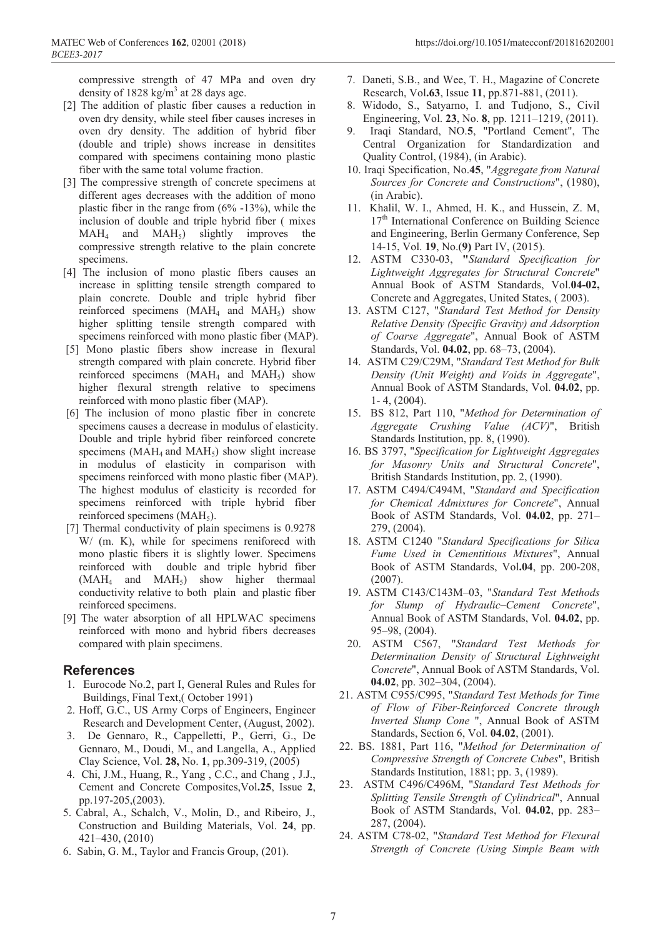compressive strength of 47 MPa and oven dry density of  $1828 \text{ kg/m}^3$  at 28 days age.

- [2] The addition of plastic fiber causes a reduction in oven dry density, while steel fiber causes increses in oven dry density. The addition of hybrid fiber (double and triple) shows increase in densitites compared with specimens containing mono plastic fiber with the same total volume fraction.
- [3] The compressive strength of concrete specimens at different ages decreases with the addition of mono plastic fiber in the range from (6% -13%), while the inclusion of double and triple hybrid fiber ( mixes  $MAH<sub>4</sub>$  and  $MAH<sub>5</sub>$ ) slightly improves the compressive strength relative to the plain concrete specimens.
- [4] The inclusion of mono plastic fibers causes an increase in splitting tensile strength compared to plain concrete. Double and triple hybrid fiber reinforced specimens  $(MAH<sub>4</sub>$  and  $MAH<sub>5</sub>)$  show higher splitting tensile strength compared with specimens reinforced with mono plastic fiber (MAP).
- [5] Mono plastic fibers show increase in flexural strength compared with plain concrete. Hybrid fiber reinforced specimens  $(MAH<sub>4</sub>$  and  $MAH<sub>5</sub>)$  show higher flexural strength relative to specimens reinforced with mono plastic fiber (MAP).
- [6] The inclusion of mono plastic fiber in concrete specimens causes a decrease in modulus of elasticity. Double and triple hybrid fiber reinforced concrete specimens ( $MAH<sub>4</sub>$  and  $MAH<sub>5</sub>$ ) show slight increase in modulus of elasticity in comparison with specimens reinforced with mono plastic fiber (MAP). The highest modulus of elasticity is recorded for specimens reinforced with triple hybrid fiber reinforced specimens  $(MAH<sub>5</sub>)$ .
- [7] Thermal conductivity of plain specimens is 0.9278 W/ (m. K), while for specimens reniforecd with mono plastic fibers it is slightly lower. Specimens reinforced with double and triple hybrid fiber  $(MAH<sub>4</sub>$  and  $MAH<sub>5</sub>$ ) show higher thermaal conductivity relative to both plain and plastic fiber reinforced specimens.
- [9] The water absorption of all HPLWAC, specimens reinforced, with mono, and hybrid fibers decreases compared with plain specimens.

### **References**

- 1. Eurocode No.2, part I, General Rules and Rules for Buildings, Final Text,( October 1991)
- 2. Hoff, G.C., US Army Corps of Engineers, Engineer Research and Development Center, (August, 2002).
- 3. De Gennaro, R., Cappelletti, P., Gerri, G., De Gennaro, M., Doudi, M., and Langella, A., Applied Clay Science, Vol. **28,** No. **1**, pp.309-319, (2005)
- 4. Chi, J.M., Huang, R., Yang , C.C., and Chang , J.J., Cement and Concrete Composites,Vol**.25**, Issue **2**, pp.197-205,(2003).
- 5. Cabral, A., Schalch, V., Molin, D., and Ribeiro, J., Construction and Building Materials, Vol. **24**, pp. 421–430, (2010)
- 6. Sabin, G. M., Taylor and Francis Group, (201).
- 7. Daneti, S.B., and Wee, T. H., Magazine of Concrete Research, Vol**.63**, Issue **11**, pp.871-881, (2011).
- 8. Widodo, S., Satyarno, I. and Tudjono, S., Civil Engineering, Vol. **23**, No. **8**, pp. 1211–1219, (2011).
- 9. Iraqi Standard, NO.**5**, "Portland Cement", The Central Organization for Standardization and Quality Control, (1984), (in Arabic).
- 10. Iraqi Specification, No.**45**, "*Aggregate from Natural Sources for Concrete and Constructions*", (1980), (in Arabic).
- 11. Khalil, W. I., Ahmed, H. K., and Hussein, Z. M, 17<sup>th</sup> International Conference on Building Science and Engineering, Berlin Germany Conference, Sep 14-15, Vol. **19**, No.(**9)** Part IV, (2015).
- 12. ASTM C330-03, **"***Standard Specification for Lightweight Aggregates for Structural Concrete*" Annual Book of ASTM Standards, Vol.**04-02,** Concrete and Aggregates, United States, ( 2003).
- 13. ASTM C127, "*Standard Test Method for Density Relative Density (Specific Gravity) and Adsorption of Coarse Aggregate*", Annual Book of ASTM Standards, Vol. **04.02**, pp. 68–73, (2004).
- 14. ASTM C29/C29M, "*Standard Test Method for Bulk Density (Unit Weight) and Voids in Aggregate*", Annual Book of ASTM Standards, Vol. **04.02**, pp. 1- 4, (2004).
- 15. BS 812, Part 110, "*Method for Determination of Aggregate Crushing Value (ACV)*", British Standards Institution, pp. 8, (1990).
- 16. BS 3797, "*Specification for Lightweight Aggregates for Masonry Units and Structural Concrete*", British Standards Institution, pp. 2, (1990).
- 17. ASTM C494/C494M, "*Standard and Specification for Chemical Admixtures for Concrete*", Annual Book of ASTM Standards, Vol. **04.02**, pp. 271– 279, (2004).
- 18. ASTM C1240 "*Standard Specifications for Silica Fume Used in Cementitious Mixtures*", Annual Book of ASTM Standards, Vol**.04**, pp. 200-208, (2007).
- 19. ASTM C143/C143M–03, "*Standard Test Methods for Slump of Hydraulic–Cement Concrete*", Annual Book of ASTM Standards, Vol. **04.02**, pp. 95–98, (2004).
- 20. ASTM C567, "*Standard Test Methods for Determination Density of Structural Lightweight Concrete*", Annual Book of ASTM Standards, Vol. **04.02**, pp. 302–304, (2004).
- 21. ASTM C955/C995, "*Standard Test Methods for Time of Flow of Fiber-Reinforced Concrete through Inverted Slump Cone* ", Annual Book of ASTM Standards, Section 6, Vol. **04.02**, (2001).
- 22. BS. 1881, Part 116, "*Method for Determination of Compressive Strength of Concrete Cubes*", British Standards Institution, 1881; pp. 3, (1989).
- 23. ASTM C496/C496M, "*Standard Test Methods for Splitting Tensile Strength of Cylindrical*", Annual Book of ASTM Standards, Vol. **04.02**, pp. 283– 287, (2004).
- 24. ASTM C78-02, "*Standard Test Method for Flexural Strength of Concrete (Using Simple Beam with*